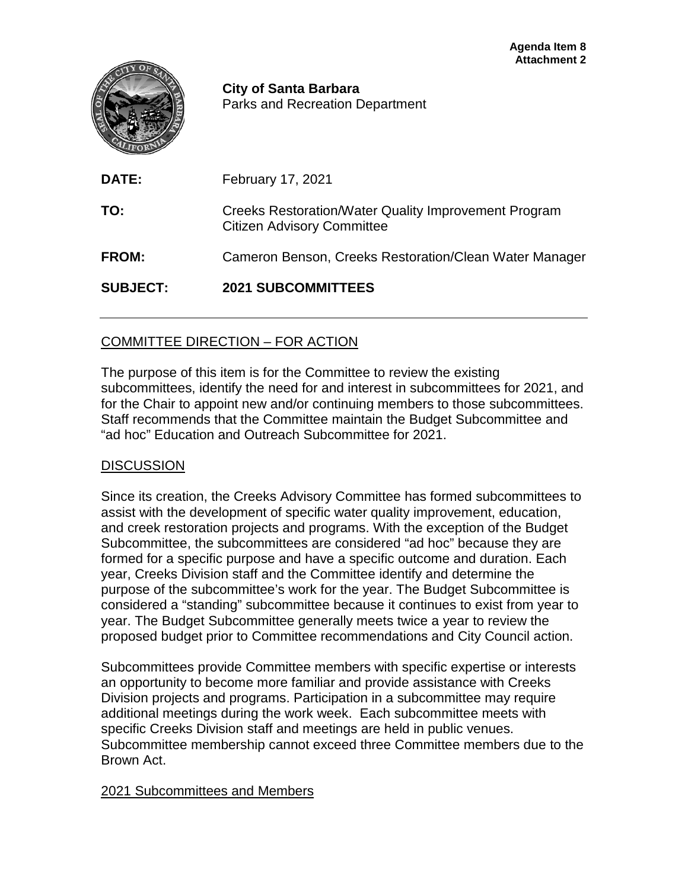|                 | Allauthnull 4<br><b>City of Santa Barbara</b><br><b>Parks and Recreation Department</b>          |
|-----------------|--------------------------------------------------------------------------------------------------|
| DATE:           | February 17, 2021                                                                                |
| TO:             | <b>Creeks Restoration/Water Quality Improvement Program</b><br><b>Citizen Advisory Committee</b> |
| <b>FROM:</b>    | Cameron Benson, Creeks Restoration/Clean Water Manager                                           |
| <b>SUBJECT:</b> | <b>2021 SUBCOMMITTEES</b>                                                                        |
|                 |                                                                                                  |

## COMMITTEE DIRECTION – FOR ACTION

The purpose of this item is for the Committee to review the existing subcommittees, identify the need for and interest in subcommittees for 2021, and for the Chair to appoint new and/or continuing members to those subcommittees. Staff recommends that the Committee maintain the Budget Subcommittee and "ad hoc" Education and Outreach Subcommittee for 2021.

## **DISCUSSION**

Since its creation, the Creeks Advisory Committee has formed subcommittees to assist with the development of specific water quality improvement, education, and creek restoration projects and programs. With the exception of the Budget Subcommittee, the subcommittees are considered "ad hoc" because they are formed for a specific purpose and have a specific outcome and duration. Each year, Creeks Division staff and the Committee identify and determine the purpose of the subcommittee's work for the year. The Budget Subcommittee is considered a "standing" subcommittee because it continues to exist from year to year. The Budget Subcommittee generally meets twice a year to review the proposed budget prior to Committee recommendations and City Council action.

Subcommittees provide Committee members with specific expertise or interests an opportunity to become more familiar and provide assistance with Creeks Division projects and programs. Participation in a subcommittee may require additional meetings during the work week. Each subcommittee meets with specific Creeks Division staff and meetings are held in public venues. Subcommittee membership cannot exceed three Committee members due to the Brown Act.

## 2021 Subcommittees and Members